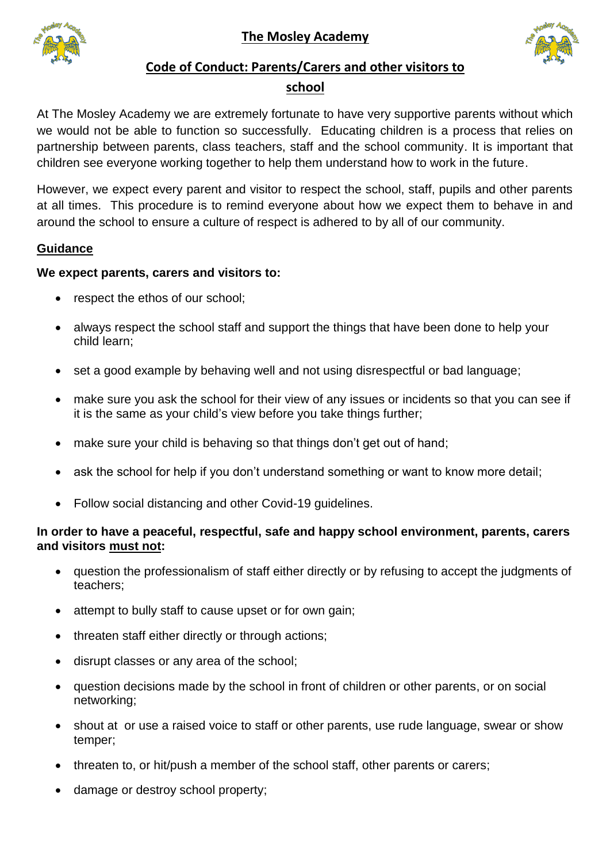**The Mosley Academy**





# **Code of Conduct: Parents/Carers and other visitors to**

#### **school**

At The Mosley Academy we are extremely fortunate to have very supportive parents without which we would not be able to function so successfully. Educating children is a process that relies on partnership between parents, class teachers, staff and the school community. It is important that children see everyone working together to help them understand how to work in the future.

However, we expect every parent and visitor to respect the school, staff, pupils and other parents at all times. This procedure is to remind everyone about how we expect them to behave in and around the school to ensure a culture of respect is adhered to by all of our community.

## **Guidance**

#### **We expect parents, carers and visitors to:**

- respect the ethos of our school;
- always respect the school staff and support the things that have been done to help your child learn;
- set a good example by behaving well and not using disrespectful or bad language;
- make sure you ask the school for their view of any issues or incidents so that you can see if it is the same as your child's view before you take things further;
- make sure your child is behaving so that things don't get out of hand;
- ask the school for help if you don't understand something or want to know more detail;
- Follow social distancing and other Covid-19 guidelines.

## **In order to have a peaceful, respectful, safe and happy school environment, parents, carers and visitors must not:**

- question the professionalism of staff either directly or by refusing to accept the judgments of teachers;
- attempt to bully staff to cause upset or for own gain;
- threaten staff either directly or through actions;
- disrupt classes or any area of the school;
- question decisions made by the school in front of children or other parents, or on social networking;
- shout at or use a raised voice to staff or other parents, use rude language, swear or show temper;
- threaten to, or hit/push a member of the school staff, other parents or carers;
- damage or destroy school property;